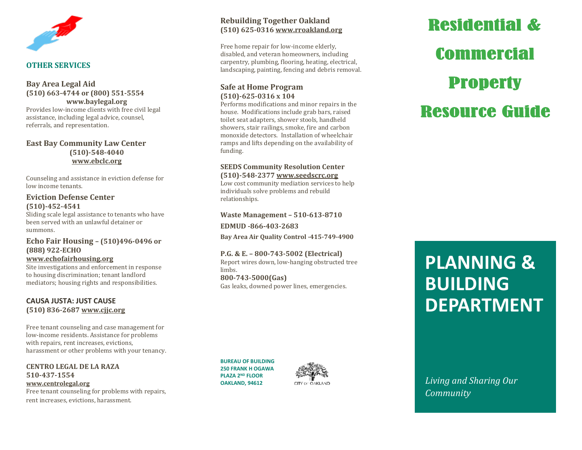

#### **OTHER SERVICES**

# **Bay Area Legal Aid (510) 663 -4744 or (800) 551 -5554 www.baylegal.org**

Provides low -income clients with free civil legal assistance, including legal advice, counsel, referrals, and representation.

#### **East Bay Community Law Center (510) -548 -4040 [www.ebclc.org](http://www.ebclc.org/)**

Counseling and assistance in eviction defense for low income tenants.

#### **Eviction Defense Center (510) -452 -4541**

Sliding scale legal assistance to tenants who have been served with an unlawful detainer or summons.

# **Echo Fair Housing – (510)496 -0496 or (888) 922 -ECHO**

**[www.echofairhousing.org](http://www.echofairhousing.org/)**

Site investigations and enforcement in response to housing discrimination; tenant landlord mediators; housing rights and responsibilities.

# **CAUSA JUSTA: JUST CAUSE (510) 836 -2687 [www.cjjc.org](http://www.cjjc.org/)**

Free tenant counseling and case management for low -income residents. Assistance for problems with repairs, rent increases, evictions, harassment or other problems with your tenancy.

**CENTRO LEGAL DE LA RAZA 510 -437 -1554 [www.centrolegal.org](http://www.centrolegal.org/)** Free tenant counseling for problems with repairs, rent increases, evictions, harassment.

**Rebuilding Together Oakland (510) 625 -0316 [www.rroakland.org](http://www.rroakland.org/)**

Free home repair for low -income elderly, disabled, and veteran homeowners, including carpentry, plumbing, flooring, heating, electrical, landscaping, painting, fencing and debris removal.

# **Safe at Home Program (510) -625 -0316 x 104**

Performs modifications and minor repairs in the house. Modifications include grab bars, raised toilet seat adapters, shower stools, handheld showers, stair railings, smoke, fire and carbon monoxide detectors. Installation of wheelchair ramps and lifts depending on the availability of funding.

### **SEEDS Community Resolution Center (510) -548 -2377 [www.seedscrc.org](http://www.seedscrc.org/)**

Low cost community mediation services to help individuals solve problems and rebuild relationships.

**Waste Management – 510 -613 -8710 EDMUD -866 -403 -2683**

**Bay Area Air Quality Control -415 -749 -4900**

# **P.G. & E. – 800 -743 -5002 (Electrical)**

Report wires down, low -hanging obstructed tree limbs. **800 -743 -5000(Gas)**

Gas leaks, downed power lines, emergencies.

**BUREAU OF BUILDING 250 FRANK H OGAWA PLAZA 2ND FLOOR OAKLAND, 94612**



# **Residential & Commercial Property Resource Guide**

# **PLANNING & BUILDING DEPARTMENT**

**Living and Sharing Our**  $\overline{\phantom{a}}$  $Commonuity$